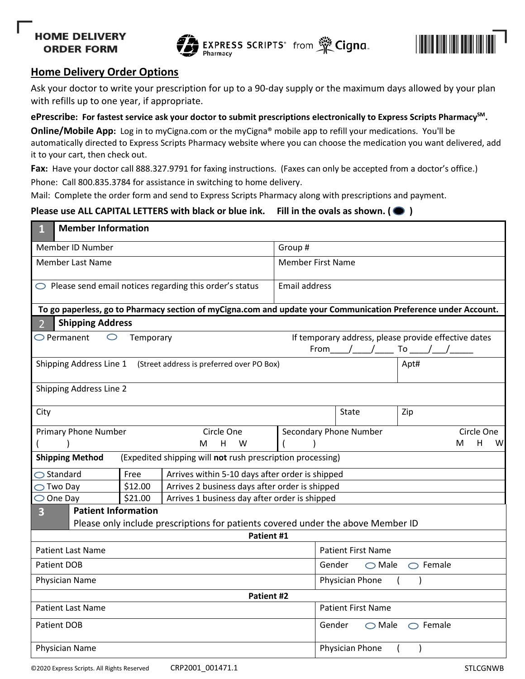## **HOME DELIVERY ORDER FORM**





## **Home Delivery Order Options**

 Ask your doctor to write your prescription for up to a 90-day supply or the maximum days allowed by your plan with refills up to one year, if appropriate.

## **ePrescribe: For fastest service ask your doctor to submit prescriptions electronically to Express Scripts PharmacySM .**

 automatically directed to Express Scripts Pharmacy website where you can choose the medication you want delivered, add **Online/Mobile App:** Log in to myCigna.com or the myCigna® mobile app to refill your medications. You'll be it to your cart, then check out.

 **Fax:** Have your doctor call 888.327.9791 for faxing instructions. (Faxes can only be accepted from a doctor's office.) Phone: Call 800.835.3784 for assistance in switching to home delivery.

Mail: Complete the order form and send to Express Scripts Pharmacy along with prescriptions and payment.

## **Please use ALL CAPITAL LETTERS with black or blue ink.** Fill in the ovals as shown. ( $\bullet$ )

| <b>Member Information</b><br>$\mathbf{1}$                                                                      |                                      |                                                                                            |                 |                 |  |             |
|----------------------------------------------------------------------------------------------------------------|--------------------------------------|--------------------------------------------------------------------------------------------|-----------------|-----------------|--|-------------|
| Member ID Number                                                                                               | Group #                              |                                                                                            |                 |                 |  |             |
| Member Last Name                                                                                               | <b>Member First Name</b>             |                                                                                            |                 |                 |  |             |
| $\bigcirc$ Please send email notices regarding this order's status                                             | Email address                        |                                                                                            |                 |                 |  |             |
| To go paperless, go to Pharmacy section of myCigna.com and update your Communication Preference under Account. |                                      |                                                                                            |                 |                 |  |             |
| <b>Shipping Address</b>                                                                                        |                                      |                                                                                            |                 |                 |  |             |
| $\circ$<br>$\bigcirc$ Permanent                                                                                | Temporary                            | If temporary address, please provide effective dates<br>From_____/_____/_____ To _____/___ |                 |                 |  |             |
| Shipping Address Line 1<br>(Street address is preferred over PO Box)                                           |                                      |                                                                                            |                 |                 |  | Apt#        |
| Shipping Address Line 2                                                                                        |                                      |                                                                                            |                 |                 |  |             |
| City                                                                                                           |                                      |                                                                                            | <b>State</b>    | Zip             |  |             |
| Primary Phone Number                                                                                           | Secondary Phone Number<br>Circle One |                                                                                            |                 |                 |  |             |
|                                                                                                                |                                      | н<br>W<br>M                                                                                |                 |                 |  | H<br>M<br>W |
| (Expedited shipping will not rush prescription processing)<br><b>Shipping Method</b>                           |                                      |                                                                                            |                 |                 |  |             |
| Arrives within 5-10 days after order is shipped<br>$\bigcirc$ Standard<br>Free                                 |                                      |                                                                                            |                 |                 |  |             |
| \$12.00<br>Arrives 2 business days after order is shipped<br>$\bigcirc$ Two Day                                |                                      |                                                                                            |                 |                 |  |             |
| $\bigcirc$ One Day                                                                                             | \$21.00                              | Arrives 1 business day after order is shipped                                              |                 |                 |  |             |
| <b>Patient Information</b><br>3                                                                                |                                      |                                                                                            |                 |                 |  |             |
| Please only include prescriptions for patients covered under the above Member ID                               |                                      |                                                                                            |                 |                 |  |             |
| Patient #1                                                                                                     |                                      |                                                                                            |                 |                 |  |             |
| <b>Patient Last Name</b>                                                                                       |                                      | <b>Patient First Name</b>                                                                  |                 |                 |  |             |
| Patient DOB                                                                                                    |                                      | $\bigcirc$ Female<br>Gender<br>$\bigcirc$ Male                                             |                 |                 |  |             |
| Physician Name                                                                                                 |                                      |                                                                                            |                 | Physician Phone |  |             |
| Patient #2                                                                                                     |                                      |                                                                                            |                 |                 |  |             |
| <b>Patient Last Name</b>                                                                                       |                                      | <b>Patient First Name</b>                                                                  |                 |                 |  |             |
| <b>Patient DOB</b>                                                                                             |                                      | Gender                                                                                     | $\bigcirc$ Male | $\circ$ Female  |  |             |
| Physician Name                                                                                                 |                                      |                                                                                            | Physician Phone |                 |  |             |